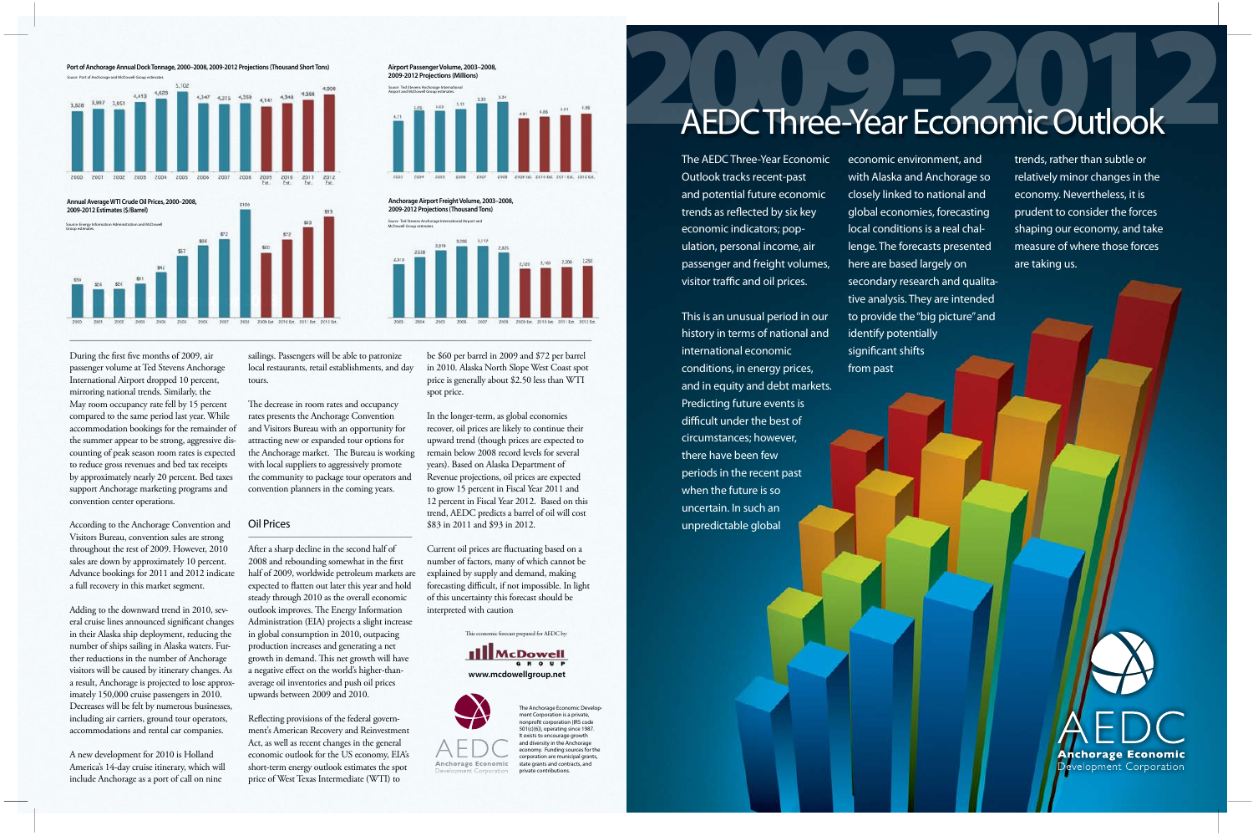During the first five months of 2009, air passenger volume at Ted Stevens Anchorage International Airport dropped 10 percent, mirroring national trends. Similarly, the May room occupancy rate fell by 15 percent compared to the same period last year. While accommodation bookings for the remainder of the summer appear to be strong, aggressive discounting of peak season room rates is expected to reduce gross revenues and bed tax receipts by approximately nearly 20 percent. Bed taxes support Anchorage marketing programs and convention center operations.

According to the Anchorage Convention and Visitors Bureau, convention sales are strong throughout the rest of 2009. However, 2010 sales are down by approximately 10 percent. Advance bookings for 2011 and 2012 indicate a full recovery in this market segment.

The decrease in room rates and occupancy rates presents the Anchorage Convention and Visitors Bureau with an opportunity for attracting new or expanded tour options for the Anchorage market. The Bureau is working with local suppliers to aggressively promote the community to package tour operators and convention planners in the coming years.

Adding to the downward trend in 2010, several cruise lines announced significant changes in their Alaska ship deployment, reducing the number of ships sailing in Alaska waters. Further reductions in the number of Anchorage visitors will be caused by itinerary changes. As a result, Anchorage is projected to lose approximately 150,000 cruise passengers in 2010. Decreases will be felt by numerous businesses, including air carriers, ground tour operators, accommodations and rental car companies.

A new development for 2010 is Holland America's 14-day cruise itinerary, which will include Anchorage as a port of call on nine

sailings. Passengers will be able to patronize local restaurants, retail establishments, and day tours.

The AEDC Three-Year Economic Outlook tracks recent-past and potential future economic trends as reflected by six key economic indicators; population, personal income, air passenger and freight volumes, visitor traffic and oil prices.

#### Oil Prices

After a sharp decline in the second half of 2008 and rebounding somewhat in the first half of 2009, worldwide petroleum markets are expected to flatten out later this year and hold steady through 2010 as the overall economic outlook improves. The Energy Information Administration (EIA) projects a slight increase in global consumption in 2010, outpacing production increases and generating a net growth in demand. This net growth will have a negative effect on the world's higher-thanaverage oil inventories and push oil prices upwards between 2009 and 2010.

# AEDC Three-Year Economic Outlook AEDC Three-Year Economic Outlook

Source: Port of Anchorage and McDowell Group estimates. 4,413 4,528 4,347 4,315 4,359 4,141 4,348 4,566

Reflecting provisions of the federal government's American Recovery and Reinvestment Act, as well as recent changes in the general economic outlook for the US economy, EIA's short-term energy outlook estimates the spot price of West Texas Intermediate (WTI) to

**Ill**McDowell **GROUP www.mcdowellgroup.net**



be \$60 per barrel in 2009 and \$72 per barrel in 2010. Alaska North Slope West Coast spot price is generally about \$2.50 less than WTI spot price.

In the longer-term, as global economies recover, oil prices are likely to continue their upward trend (though prices are expected to remain below 2008 record levels for several years). Based on Alaska Department of Revenue projections, oil prices are expected to grow 15 percent in Fiscal Year 2011 and 12 percent in Fiscal Year 2012. Based on this trend, AEDC predicts a barrel of oil will cost \$83 in 2011 and \$93 in 2012.

Current oil prices are fluctuating based on a number of factors, many of which cannot be explained by supply and demand, making forecasting difficult, if not impossible. In light of this uncertainty this forecast should be interpreted with caution

This economic forecast prepared for AEDC by:

This is an unusual period in our history in terms of national and international economic conditions, in energy prices, and in equity and debt markets. Predicting future events is difficult under the best of circumstances; however, there have been few periods in the recent past when the future is so uncertain. In such an unpredictable global

economic environment, and with Alaska and Anchorage so closely linked to national and global economies, forecasting local conditions is a real challenge. The forecasts presented here are based largely on secondary research and qualitative analysis. They are intended to provide the "big picture" and identify potentially significant shifts from past

trends, rather than subtle or relatively minor changes in the economy. Nevertheless, it is prudent to consider the forces shaping our economy, and take measure of where those forces are taking us.



## **Airport Passenger Volume, 2003–2008, 2009-2012 Projections (Millions)** Source: Ted Stevens Anchorage International Airport and McDowell Group estimates.



**Port of Anchorage Annual Dock Tonnage, 2000–2008, 2009-2012 Projections (Thousand Short Tons)**



**Anchorage Airport Freight Volume, 2003–2008, 2009-2012 Projections (Thousand Tons)**

> The Anchorage Economic Development Corporation is a private, nonprofit corporation (IRS code 501(c)(6)), operating since 1987. It exists to encourage growth and diversity in the Anchorage economy. Funding sources for the corporation are municipal grants, state grants and contracts, and private contributions.